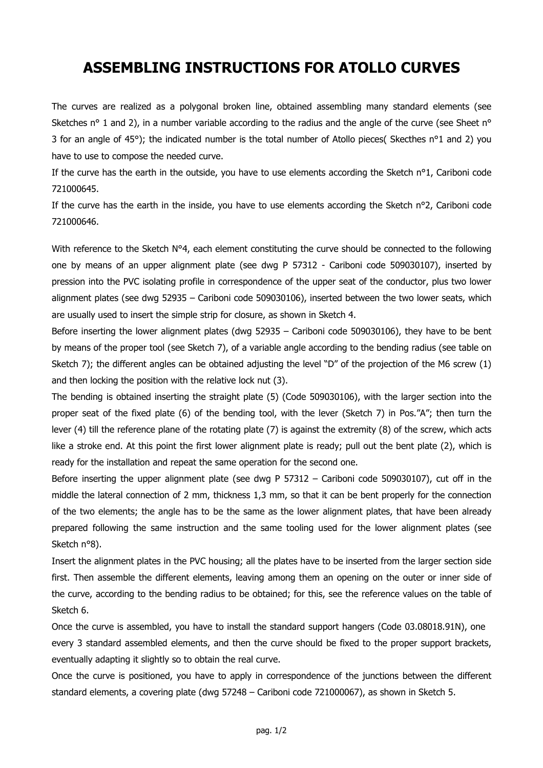## **ASSEMBLING INSTRUCTIONS FOR ATOLLO CURVES**

The curves are realized as a polygonal broken line, obtained assembling many standard elements (see Sketches n<sup>o</sup> 1 and 2), in a number variable according to the radius and the angle of the curve (see Sheet n<sup>o</sup> 3 for an angle of 45°); the indicated number is the total number of Atollo pieces( Skecthes n°1 and 2) you have to use to compose the needed curve.

If the curve has the earth in the outside, you have to use elements according the Sketch n°1, Cariboni code 721000645.

If the curve has the earth in the inside, you have to use elements according the Sketch  $n^{\circ}2$ , Cariboni code 721000646.

With reference to the Sketch N°4, each element constituting the curve should be connected to the following one by means of an upper alignment plate (see dwg P 57312 - Cariboni code 509030107), inserted by pression into the PVC isolating profile in correspondence of the upper seat of the conductor, plus two lower alignment plates (see dwg 52935 – Cariboni code 509030106), inserted between the two lower seats, which are usually used to insert the simple strip for closure, as shown in Sketch 4.

Before inserting the lower alignment plates (dwg 52935 – Cariboni code 509030106), they have to be bent by means of the proper tool (see Sketch 7), of a variable angle according to the bending radius (see table on Sketch 7); the different angles can be obtained adjusting the level "D" of the projection of the M6 screw (1) and then locking the position with the relative lock nut (3).

The bending is obtained inserting the straight plate (5) (Code 509030106), with the larger section into the proper seat of the fixed plate (6) of the bending tool, with the lever (Sketch 7) in Pos."A"; then turn the lever (4) till the reference plane of the rotating plate (7) is against the extremity (8) of the screw, which acts like a stroke end. At this point the first lower alignment plate is ready; pull out the bent plate (2), which is ready for the installation and repeat the same operation for the second one.

Before inserting the upper alignment plate (see dwg P 57312 – Cariboni code 509030107), cut off in the middle the lateral connection of 2 mm, thickness 1,3 mm, so that it can be bent properly for the connection of the two elements; the angle has to be the same as the lower alignment plates, that have been already prepared following the same instruction and the same tooling used for the lower alignment plates (see Sketch n°8).

Insert the alignment plates in the PVC housing; all the plates have to be inserted from the larger section side first. Then assemble the different elements, leaving among them an opening on the outer or inner side of the curve, according to the bending radius to be obtained; for this, see the reference values on the table of Sketch 6.

Once the curve is assembled, you have to install the standard support hangers (Code 03.08018.91N), one every 3 standard assembled elements, and then the curve should be fixed to the proper support brackets, eventually adapting it slightly so to obtain the real curve.

Once the curve is positioned, you have to apply in correspondence of the junctions between the different standard elements, a covering plate (dwg 57248 – Cariboni code 721000067), as shown in Sketch 5.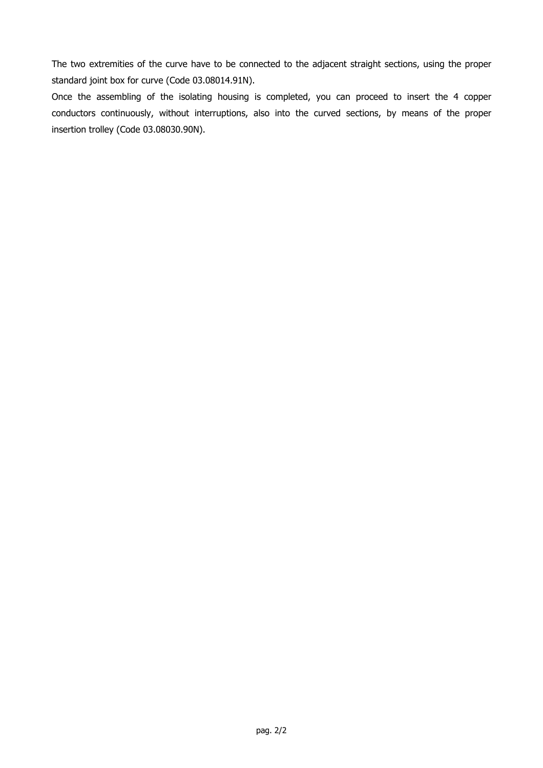The two extremities of the curve have to be connected to the adjacent straight sections, using the proper standard joint box for curve (Code 03.08014.91N).

Once the assembling of the isolating housing is completed, you can proceed to insert the 4 copper conductors continuously, without interruptions, also into the curved sections, by means of the proper insertion trolley (Code 03.08030.90N).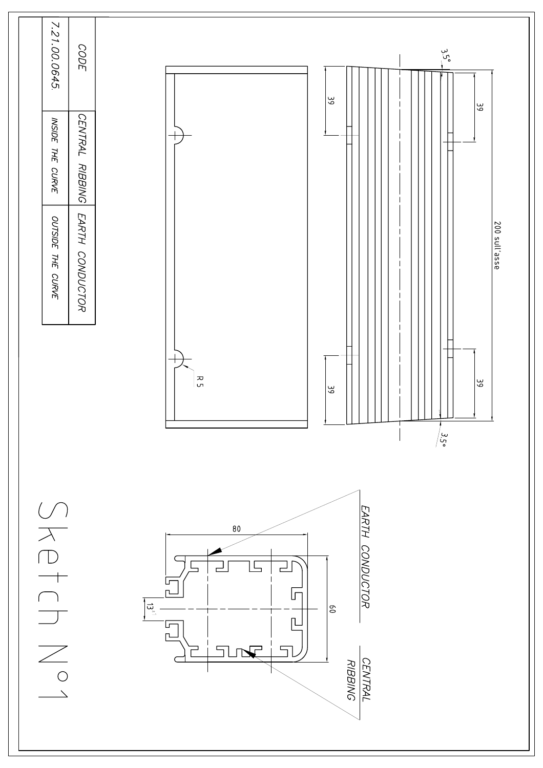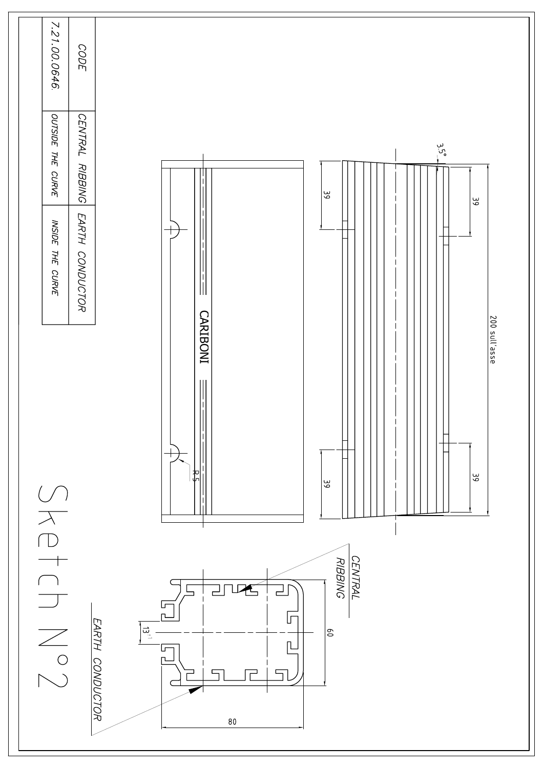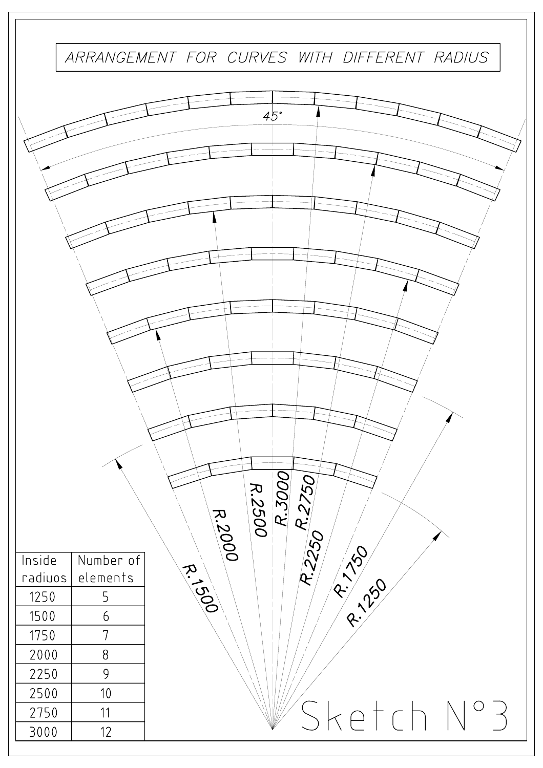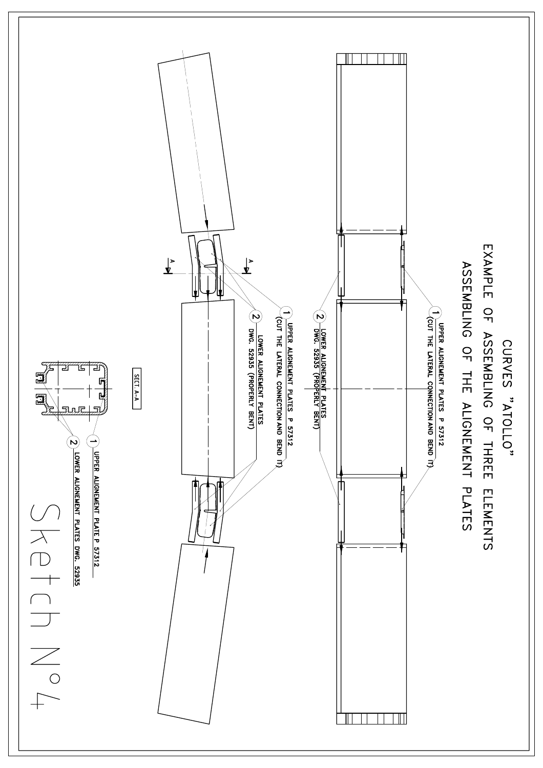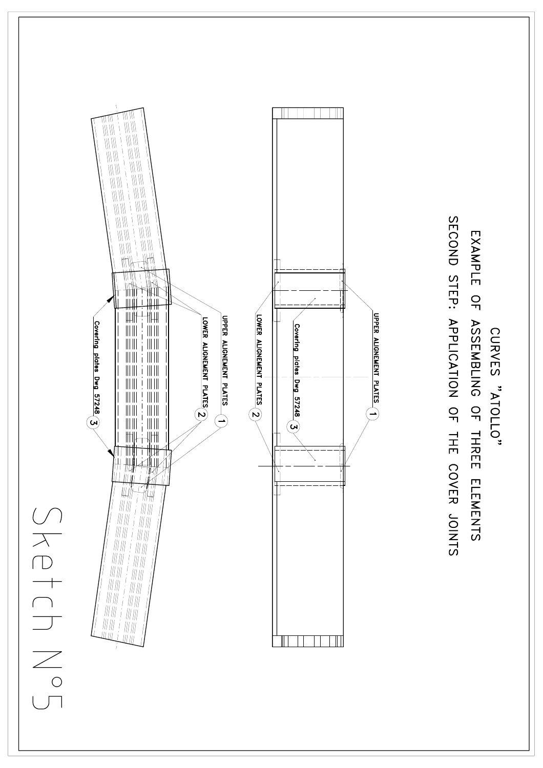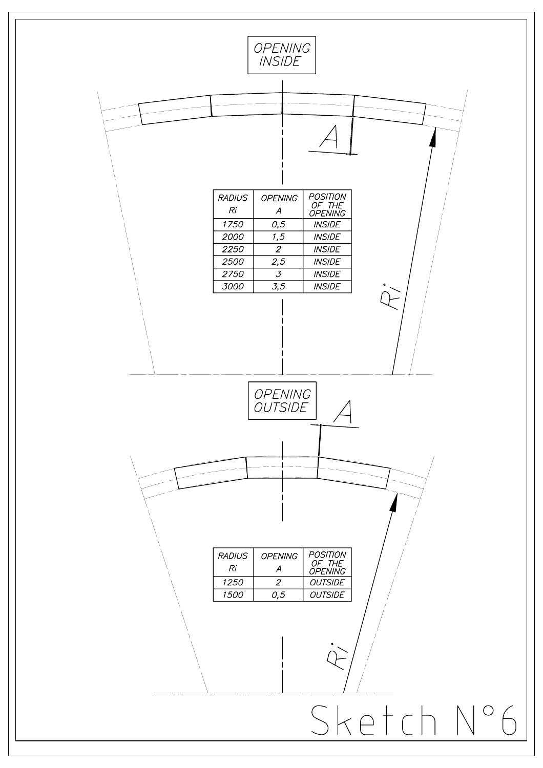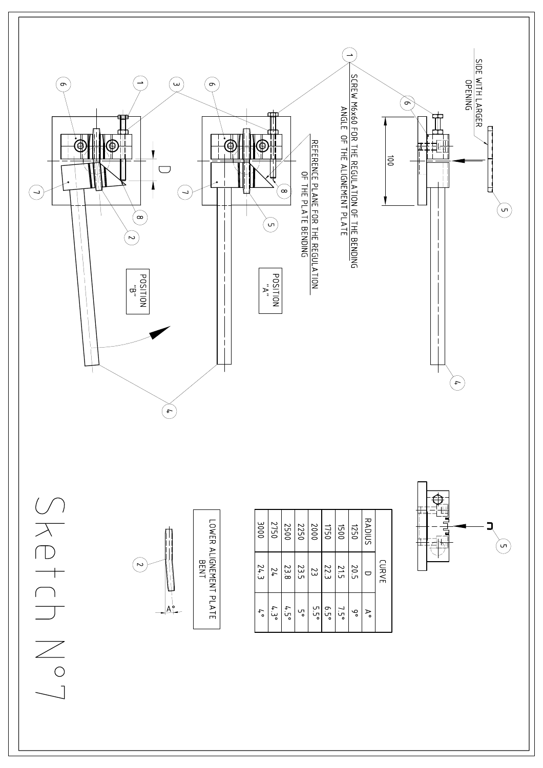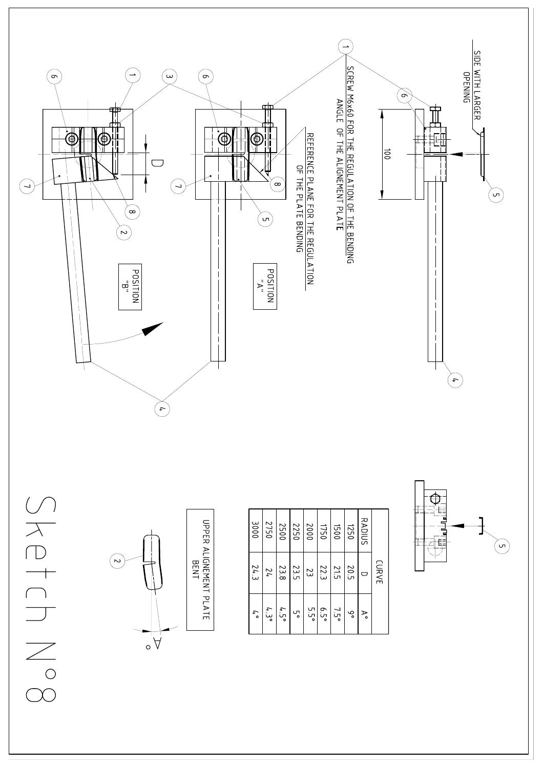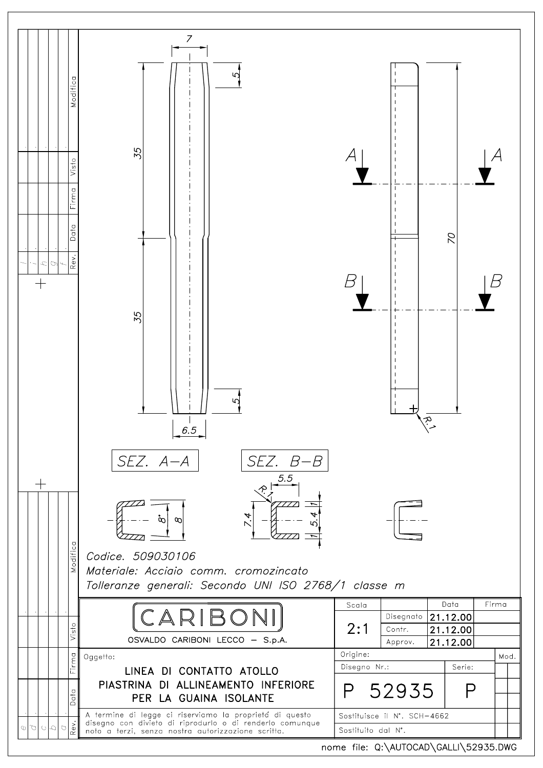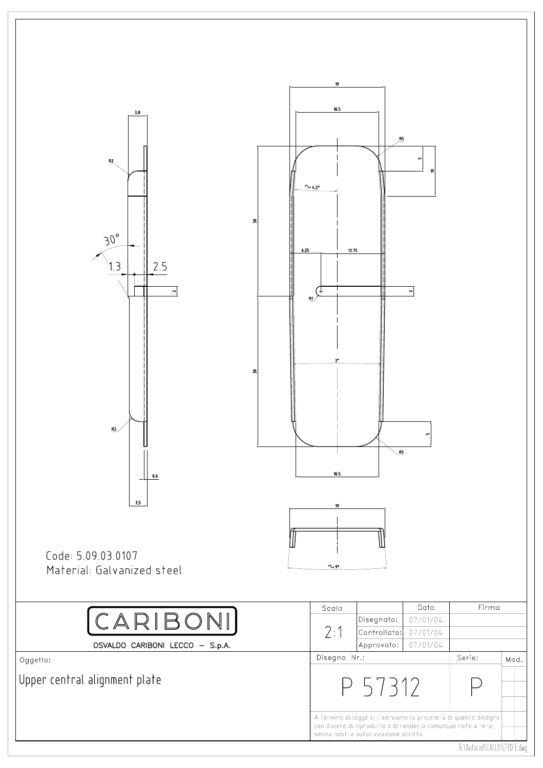

R:\Aufocad\GALLI\57312 E.dwg